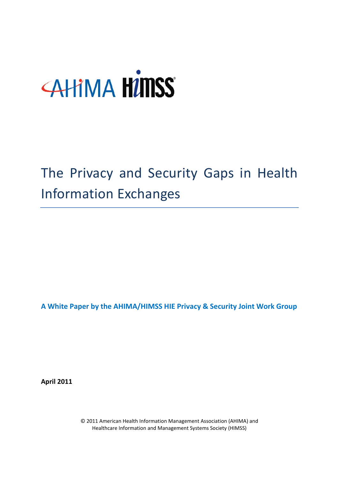# **AHIMA HIMSS**

# The Privacy and Security Gaps in Health Information Exchanges

**A White Paper by the AHIMA/HIMSS HIE Privacy & Security Joint Work Group**

<span id="page-0-0"></span>**April 2011**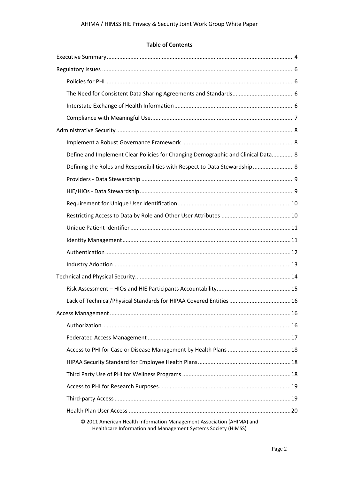#### **Table of Contents**

| Define and Implement Clear Policies for Changing Demographic and Clinical Data 8                                                       |
|----------------------------------------------------------------------------------------------------------------------------------------|
| Defining the Roles and Responsibilities with Respect to Data Stewardship 8                                                             |
|                                                                                                                                        |
|                                                                                                                                        |
|                                                                                                                                        |
|                                                                                                                                        |
|                                                                                                                                        |
|                                                                                                                                        |
|                                                                                                                                        |
|                                                                                                                                        |
|                                                                                                                                        |
|                                                                                                                                        |
|                                                                                                                                        |
|                                                                                                                                        |
|                                                                                                                                        |
|                                                                                                                                        |
|                                                                                                                                        |
|                                                                                                                                        |
|                                                                                                                                        |
|                                                                                                                                        |
|                                                                                                                                        |
|                                                                                                                                        |
| © 2011 American Health Information Management Association (AHIMA) and<br>Healthcare Information and Management Systems Society (HIMSS) |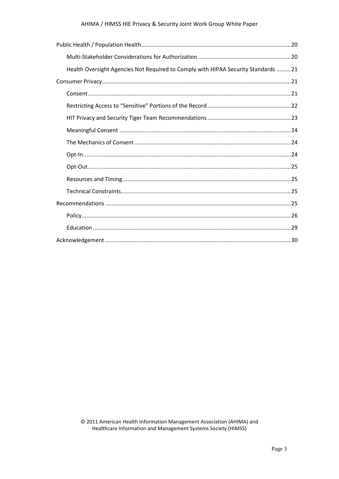#### AHIMA / HIMSS HIE Privacy & Security Joint Work Group White Paper

| Health Oversight Agencies Not Required to Comply with HIPAA Security Standards  21 |  |
|------------------------------------------------------------------------------------|--|
|                                                                                    |  |
|                                                                                    |  |
|                                                                                    |  |
|                                                                                    |  |
|                                                                                    |  |
|                                                                                    |  |
|                                                                                    |  |
|                                                                                    |  |
|                                                                                    |  |
|                                                                                    |  |
|                                                                                    |  |
|                                                                                    |  |
|                                                                                    |  |
|                                                                                    |  |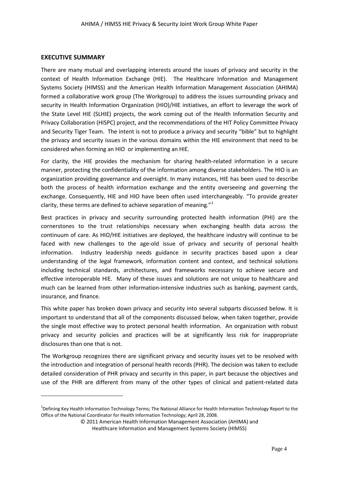#### <span id="page-3-0"></span>**EXECUTIVE SUMMARY**

**.** 

There are many mutual and overlapping interests around the issues of privacy and security in the context of Health Information Exchange (HIE). The Healthcare Information and Management Systems Society (HIMSS) and the American Health Information Management Association (AHIMA) formed a collaborative work group (The Workgroup) to address the issues surrounding privacy and security in Health Information Organization (HIO)/HIE initiatives, an effort to leverage the work of the State Level HIE (SLHIE) projects, the work coming out of the Health Information Security and Privacy Collaboration (HISPC) project, and the recommendations of the HIT Policy Committee Privacy and Security Tiger Team. The intent is not to produce a privacy and security "bible" but to highlight the privacy and security issues in the various domains within the HIE environment that need to be considered when forming an HIO or implementing an HIE.

For clarity, the HIE provides the mechanism for sharing health-related information in a secure manner, protecting the confidentiality of the information among diverse stakeholders. The HIO is an organization providing governance and oversight. In many instances, HIE has been used to describe both the process of health information exchange and the entity overseeing and governing the exchange. Consequently, HIE and HIO have been often used interchangeably. "To provide greater clarity, these terms are defined to achieve separation of meaning."<sup>[1](#page-0-0)</sup>

Best practices in privacy and security surrounding protected health information (PHI) are the cornerstones to the trust relationships necessary when exchanging health data across the continuum of care. As HIO/HIE initiatives are deployed, the healthcare industry will continue to be faced with new challenges to the age-old issue of privacy and security of personal health information. Industry leadership needs guidance in security practices based upon a clear understanding of the legal framework, information content and context, and technical solutions including technical standards, architectures, and frameworks necessary to achieve secure and effective interoperable HIE. Many of these issues and solutions are not unique to healthcare and much can be learned from other information-intensive industries such as banking, payment cards, insurance, and finance.

This white paper has broken down privacy and security into several subparts discussed below. It is important to understand that all of the components discussed below, when taken together, provide the single most effective way to protect personal health information. An organization with robust privacy and security policies and practices will be at significantly less risk for inappropriate disclosures than one that is not.

The Workgroup recognizes there are significant privacy and security issues yet to be resolved with the introduction and integration of personal health records (PHR). The decision was taken to exclude detailed consideration of PHR privacy and security in this paper, in part because the objectives and use of the PHR are different from many of the other types of clinical and patient-related data

<span id="page-3-1"></span><sup>&</sup>lt;sup>1</sup>Defining Key Health Information Technology Terms; The National Alliance for Health Information Technology Report to the Office of the National Coordinator for Health Information Technology; April 28, 2008.

<sup>© 2011</sup> American Health Information Management Association (AHIMA) and

Healthcare Information and Management Systems Society (HIMSS)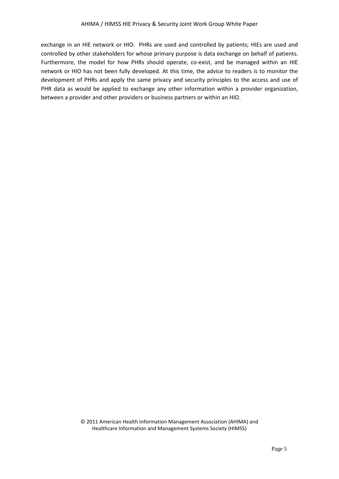<span id="page-4-0"></span>exchange in an HIE network or HIO. PHRs are used and controlled by patients; HIEs are used and controlled by other stakeholders for whose primary purpose is data exchange on behalf of patients. Furthermore, the model for how PHRs should operate, co-exist, and be managed within an HIE network or HIO has not been fully developed. At this time, the advice to readers is to monitor the development of PHRs and apply the same privacy and security principles to the access and use of PHR data as would be applied to exchange any other information within a provider organization, between a provider and other providers or business partners or within an HIO.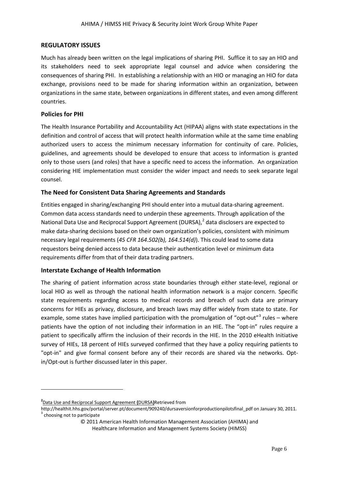#### **REGULATORY ISSUES**

Much has already been written on the legal implications of sharing PHI. Suffice it to say an HIO and its stakeholders need to seek appropriate legal counsel and advice when considering the consequences of sharing PHI. In establishing a relationship with an HIO or managing an HIO for data exchange, provisions need to be made for sharing information within an organization, between organizations in the same state, between organizations in different states, and even among different countries.

#### <span id="page-5-0"></span>**Policies for PHI**

The Health Insurance Portability and Accountability Act (HIPAA) aligns with state expectations in the definition and control of access that will protect health information while at the same time enabling authorized users to access the minimum necessary information for continuity of care. Policies, guidelines, and agreements should be developed to ensure that access to information is granted only to those users (and roles) that have a specific need to access the information. An organization considering HIE implementation must consider the wider impact and needs to seek separate legal counsel.

# <span id="page-5-1"></span>**The Need for Consistent Data Sharing Agreements and Standards**

Entities engaged in sharing/exchanging PHI should enter into a mutual data-sharing agreement. Common data access standards need to underpin these agreements. Through application of the National Data Use and Reciprocal Support Agreement (DURSA),<sup>[2](#page-3-1)</sup> data disclosers are expected to make data-sharing decisions based on their own organization's policies, consistent with minimum necessary legal requirements (*45 CFR 164.502(b), 164.514(d)*). This could lead to some data requestors being denied access to data because their authentication level or minimum data requirements differ from that of their data trading partners.

# <span id="page-5-2"></span>**Interstate Exchange of Health Information**

<span id="page-5-4"></span>The sharing of patient information across state boundaries through either state-level, regional or local HIO as well as through the national health information network is a major concern. Specific state requirements regarding access to medical records and breach of such data are primary concerns for HIEs as privacy, disclosure, and breach laws may differ widely from state to state. For example, some states have implied participation with the promulgation of "opt-out" $3$  rules – where patients have the option of not including their information in an HIE. The "opt-in" rules require a patient to specifically affirm the inclusion of their records in the HIE. In the 2010 eHealth Initiative survey of HIEs, 18 percent of HIEs surveyed confirmed that they have a policy requiring patients to "opt-in" and give formal consent before any of their records are shared via the networks. Optin/Opt-out is further discussed later in this paper.

**.** 

**<sup>2</sup>** [Data Use and Reciprocal Support Agreement](http://www.google.com/url?sa=t&source=web&cd=1&ved=0CBcQFjAA&url=http%3A%2F%2Fhealthit.hhs.gov%2Fportal%2Fserver.pt%2Fgateway%2FPTARGS_0_10731_849891_0_0_18%2FDRAFT%2520NHIN%2520Trial%2520Implementations%2520Production%2520DURSA-3.pdf&rct=j&q=DURSA&ei=k6lCTZKhHYO8sQO1ypDuCg&usg=AFQjCNHkU5DfTE88K3yQfZO9w_cs3f7QpQ&sig2=SYsu7WsVScuqc1-_p7JQ8w&cad=rja) **(**DURSA**)**Retrieved from

<span id="page-5-3"></span>http://healthit.hhs.gov/portal/server.pt/document/909240/dursaversionforproductionpilotsfinal\_pdf on January 30, 2011.<br><sup>3</sup> choosing not to participate

<sup>© 2011</sup> American Health Information Management Association (AHIMA) and

Healthcare Information and Management Systems Society (HIMSS)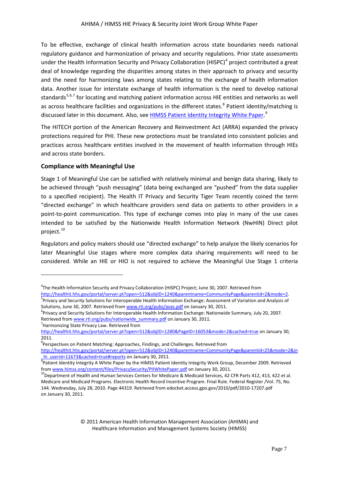To be effective, exchange of clinical health information across state boundaries needs national regulatory guidance and harmonization of privacy and security regulations. Prior state assessments under the Health Information Security and Privacy Collaboration (HISPC)<sup>[4](#page-5-4)</sup> project contributed a great deal of knowledge regarding the disparities among states in their approach to privacy and security and the need for harmonizing laws among states relating to the exchange of health information data. Another issue for interstate exchange of health information is the need to develop national standards<sup>[5](#page-6-1),[6,](#page-6-2)[7](#page-6-3)</sup> for locating and matching patient information across HIE entities and networks as well as across healthcare facilities and organizations in the different states.<sup>[8](#page-6-4)</sup> Patient identity/matching is discussed later in this document. Also, see **HIMSS Patient Identity Integrity White Paper.**<sup>[9](#page-6-5)</sup>

The HITECH portion of the American Recovery and Reinvestment Act (ARRA) expanded the privacy protections required for PHI. These new protections must be translated into consistent policies and practices across healthcare entities involved in the movement of health information through HIEs and across state borders.

#### <span id="page-6-0"></span>**Compliance with Meaningful Use**

Stage 1 of Meaningful Use can be satisfied with relatively minimal and benign data sharing, likely to be achieved through "push messaging" (data being exchanged are "pushed" from the data supplier to a specified recipient). The Health IT Privacy and Security Tiger Team recently coined the term "directed exchange" in which healthcare providers send data on patients to other providers in a point-to-point communication. This type of exchange comes into play in many of the use cases intended to be satisfied by the Nationwide Health Information Network (NwHIN) Direct pilot project.<sup>[10](#page-6-6)</sup>

Regulators and policy makers should use "directed exchange" to help analyze the likely scenarios for later Meaningful Use stages where more complex data sharing requirements will need to be considered. While an HIE or HIO is not required to achieve the Meaningful Use Stage 1 criteria

<span id="page-6-3"></span><sup>7</sup> Harmonizing State Privacy Law. Retrieved from

 $\overline{a}$ 

<sup>4</sup> The Health Information Security and Privacy Collaboration (HISPC) Project; June 30, 2007. Retrieved from [http://healthit.hhs.gov/portal/server.pt?open=512&objID=1240&parentname=CommunityPage&parentid=2&mode=2.](http://healthit.hhs.gov/portal/server.pt?open=512&objID=1240&parentname=CommunityPage&parentid=2&mode=2)

<span id="page-6-1"></span><sup>&</sup>lt;sup>5</sup>Privacy and Security Solutions for Interoperable Health Information Exchange: Assessment of Variation and Analysis of Solutions, June 30, 2007. Retrieved from [www.rti.org/pubs/avas.pdf](http://www.rti.org/pubs/avas.pdf) on January 30, 2011.

<span id="page-6-2"></span><sup>&</sup>lt;sup>6</sup> Privacy and Security Solutions for Interoperable Health Information Exchange: Nationwide Summary, July 20, 2007. Retrieved fro[m www.rti.org/pubs/nationwide\\_summary.pdf](http://www.rti.org/pubs/nationwide_summary.pdf) on January 30, 2011.

<http://healthit.hhs.gov/portal/server.pt?open=512&objID=1280&PageID=16053&mode=2&cached=true> on January 30, 2011.

<sup>&</sup>lt;sup>8</sup>Perspectives on Patient Matching: Approaches, Findings, and Challenges. Retrieved from

<span id="page-6-4"></span>[http://healthit.hhs.gov/portal/server.pt?open=512&objID=1240&parentname=CommunityPage&parentid=25&mode=2&in](http://healthit.hhs.gov/portal/server.pt?open=512&objID=1240&parentname=CommunityPage&parentid=25&mode=2&in_hi_userid=11673&cached=true#reports) hi\_userid=11673&cached=true#reports on January 30, 2011.

<span id="page-6-5"></span> $9$ Patient Identity Integrity A White Paper by the HIMSS Patient Identity Integrity Work Group, December 2009. Retrieved from [www.himss.org/content/files/PrivacySecurity/PIIWhitePaper.pdf](http://www.himss.org/content/files/PrivacySecurity/PIIWhitePaper.pdf) on January 30, 2011.<br><sup>10</sup>Department of Health and Human Services Centers for Medicare & Medicaid Services, 42 CFR Parts 412, 413, 422 et al.

<span id="page-6-7"></span><span id="page-6-6"></span>Medicare and Medicaid Programs. Electronic Health Record Incentive Program. Final Rule. Federal Register /Vol. 75, No. 144. Wednesday, July 28, 2010. Page 44319. Retrieved from edocket.access.gpo.gov/2010/pdf/2010-17207.pdf on January 30, 2011.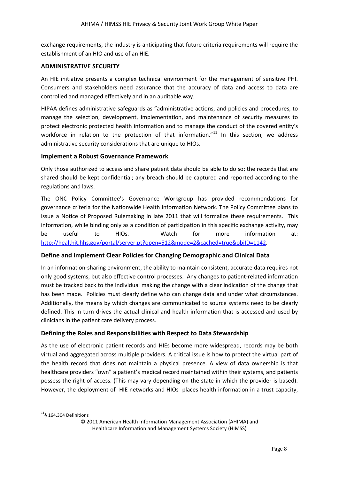exchange requirements, the industry is anticipating that future criteria requirements will require the establishment of an HIO and use of an HIE.

#### <span id="page-7-0"></span>**ADMINISTRATIVE SECURITY**

An HIE initiative presents a complex technical environment for the management of sensitive PHI. Consumers and stakeholders need assurance that the accuracy of data and access to data are controlled and managed effectively and in an auditable way.

HIPAA defines administrative safeguards as "administrative actions, and policies and procedures, to manage the selection, development, implementation, and maintenance of security measures to protect electronic protected health information and to manage the conduct of the covered entity's workforce in relation to the protection of that information."<sup>[11](#page-6-7)</sup> In this section, we address administrative security considerations that are unique to HIOs.

#### <span id="page-7-1"></span>**Implement a Robust Governance Framework**

Only those authorized to access and share patient data should be able to do so; the records that are shared should be kept confidential; any breach should be captured and reported according to the regulations and laws.

The ONC Policy Committee's Governance Workgroup has provided recommendations for governance criteria for the Nationwide Health Information Network. The Policy Committee plans to issue a Notice of Proposed Rulemaking in late 2011 that will formalize these requirements. This information, while binding only as a condition of participation in this specific exchange activity, may be useful to HIOs. Watch for more information at: [http://healthit.hhs.gov/portal/server.pt?open=512&mode=2&cached=true&objID=1142.](http://healthit.hhs.gov/portal/server.pt?open=512&mode=2&cached=true&objID=1142)

# <span id="page-7-2"></span>**Define and Implement Clear Policies for Changing Demographic and Clinical Data**

In an information-sharing environment, the ability to maintain consistent, accurate data requires not only good systems, but also effective control processes. Any changes to patient-related information must be tracked back to the individual making the change with a clear indication of the change that has been made. Policies must clearly define who can change data and under what circumstances. Additionally, the means by which changes are communicated to source systems need to be clearly defined. This in turn drives the actual clinical and health information that is accessed and used by clinicians in the patient care delivery process.

# <span id="page-7-3"></span>**Defining the Roles and Responsibilities with Respect to Data Stewardship**

As the use of electronic patient records and HIEs become more widespread, records may be both virtual and aggregated across multiple providers. A critical issue is how to protect the virtual part of the health record that does not maintain a physical presence. A view of data ownership is that healthcare providers "own" a patient's medical record maintained within their systems, and patients possess the right of access. (This may vary depending on the state in which the provider is based). However, the deployment of HIE networks and HIOs places health information in a trust capacity,

<span id="page-7-4"></span> $\overline{a}$ 

<sup>11</sup>**§** 164.304 Definitions

<sup>© 2011</sup> American Health Information Management Association (AHIMA) and Healthcare Information and Management Systems Society (HIMSS)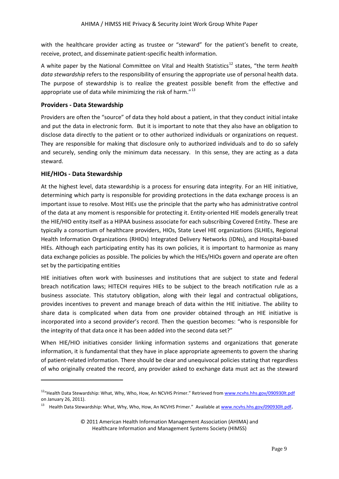with the healthcare provider acting as trustee or "steward" for the patient's benefit to create, receive, protect, and disseminate patient-specific health information.

A white paper by the National Committee on Vital and Health Statistics<sup>[12](#page-7-4)</sup> states, "the term *health data stewardship* refers to the responsibility of ensuring the appropriate use of personal health data. The purpose of stewardship is to realize the greatest possible benefit from the effective and appropriate use of data while minimizing the risk of harm."<sup>[13](#page-8-2)</sup>

# <span id="page-8-0"></span>**Providers - Data Stewardship**

Providers are often the "source" of data they hold about a patient, in that they conduct initial intake and put the data in electronic form. But it is important to note that they also have an obligation to disclose data directly to the patient or to other authorized individuals or organizations on request. They are responsible for making that disclosure only to authorized individuals and to do so safely and securely, sending only the minimum data necessary. In this sense, they are acting as a data steward.

#### <span id="page-8-1"></span>**HIE/HIOs - Data Stewardship**

<span id="page-8-3"></span> $\overline{a}$ 

At the highest level, data stewardship is a process for ensuring data integrity. For an HIE initiative, determining which party is responsible for providing protections in the data exchange process is an important issue to resolve. Most HIEs use the principle that the party who has administrative control of the data at any moment is responsible for protecting it. Entity-oriented HIE models generally treat the HIE/HIO entity itself as a HIPAA business associate for each subscribing Covered Entity. These are typically a consortium of healthcare providers, HIOs, State Level HIE organizations (SLHIEs, Regional Health Information Organizations (RHIOs) Integrated Delivery Networks (IDNs), and Hospital-based HIEs. Although each participating entity has its own policies, it is important to harmonize as many data exchange policies as possible. The policies by which the HIEs/HIOs govern and operate are often set by the participating entities

HIE initiatives often work with businesses and institutions that are subject to state and federal breach notification laws; HITECH requires HIEs to be subject to the breach notification rule as a business associate. This statutory obligation, along with their legal and contractual obligations, provides incentives to prevent and manage breach of data within the HIE initiative. The ability to share data is complicated when data from one provider obtained through an HIE initiative is incorporated into a second provider's record. Then the question becomes: "who is responsible for the integrity of that data once it has been added into the second data set?"

When HIE/HIO initiatives consider linking information systems and organizations that generate information, it is fundamental that they have in place appropriate agreements to govern the sharing of patient-related information. There should be clear and unequivocal policies stating that regardless of who originally created the record, any provider asked to exchange data must act as the steward

<sup>&</sup>lt;sup>12</sup>"Health Data Stewardship: What, Why, Who, How, An NCVHS Primer." Retrieved from www.ncvhs.hhs.gov/090930lt.pdf on January 26, 2011).

<span id="page-8-2"></span><sup>&</sup>lt;sup>13</sup> Health Data Stewardship: What, Why, Who, How, An NCVHS Primer." Available a[t www.ncvhs.hhs.gov/090930lt.pdf](http://www.ncvhs.hhs.gov/090930lt.pdf).

<sup>© 2011</sup> American Health Information Management Association (AHIMA) and Healthcare Information and Management Systems Society (HIMSS)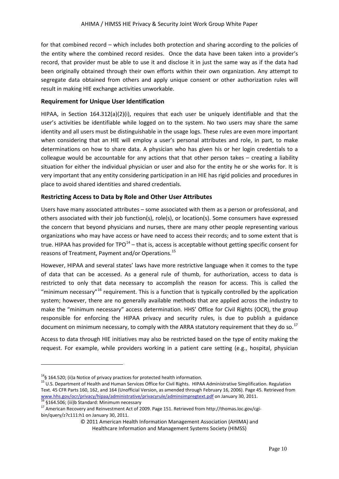for that combined record – which includes both protection and sharing according to the policies of the entity where the combined record resides. Once the data have been taken into a provider's record, that provider must be able to use it and disclose it in just the same way as if the data had been originally obtained through their own efforts within their own organization. Any attempt to segregate data obtained from others and apply unique consent or other authorization rules will result in making HIE exchange activities unworkable.

# <span id="page-9-0"></span>**Requirement for Unique User Identification**

HIPAA, in Section 164.312(a)(2)(i), requires that each user be uniquely identifiable and that the user's activities be identifiable while logged on to the system. No two users may share the same identity and all users must be distinguishable in the usage logs. These rules are even more important when considering that an HIE will employ a user's personal attributes and role, in part, to make determinations on how to share data. A physician who has given his or her login credentials to a colleague would be accountable for any actions that that other person takes – creating a liability situation for either the individual physician or user and also for the entity he or she works for. It is very important that any entity considering participation in an HIE has rigid policies and procedures in place to avoid shared identities and shared credentials.

#### <span id="page-9-1"></span>**Restricting Access to Data by Role and Other User Attributes**

Users have many associated attributes – some associated with them as a person or professional, and others associated with their job function(s), role(s), or location(s). Some consumers have expressed the concern that beyond physicians and nurses, there are many other people representing various organizations who may have access or have need to access their records; and to some extent that is true. HIPAA has provided for TPO $^{14}$  $^{14}$  $^{14}$  – that is, access is acceptable without getting specific consent for reasons of Treatment, Payment and/or Operations.[15](#page-9-2)

However, HIPAA and several states' laws have more restrictive language when it comes to the type of data that can be accessed. As a general rule of thumb, for authorization, access to data is restricted to only that data necessary to accomplish the reason for access. This is called the "minimum necessary"<sup>[16](#page-9-3)</sup> requirement. This is a function that is typically controlled by the application system; however, there are no generally available methods that are applied across the industry to make the "minimum necessary" access determination. HHS' Office for Civil Rights (OCR), the group responsible for enforcing the HIPAA privacy and security rules, is due to publish a guidance document on minimum necessary, to comply with the ARRA statutory requirement that they do so.<sup>[17](#page-9-4)</sup>

Access to data through HIE initiatives may also be restricted based on the type of entity making the request. For example, while providers working in a patient care setting (e.g., hospital, physician

 $\overline{a}$ 

<span id="page-9-5"></span><span id="page-9-2"></span><sup>&</sup>lt;sup>14</sup>§ 164.520; (ii)a Notice of privacy practices for protected health information.<br><sup>15</sup> U.S. Department of Health and Human Services Office for Civil Rights. HIPAA Administrative Simplification. Regulation Text. 45 CFR Parts 160, 162, and 164 (Unofficial Version, as amended through February 16, 2006). Page 45. Retrieved from [www.hhs.gov/ocr/privacy/hipaa/administrative/privacyrule/adminsimpregtext.pdf](http://www.hhs.gov/ocr/privacy/hipaa/administrative/privacyrule/adminsimpregtext.pdf) on January 30, 2011.<br>
<sup>16</sup> §164.506; (iii)b Standard: Minimum necessary<br>
<sup>17</sup> American Recovery and Reinvestment Act of 2009. Page 151. Retrieve

<span id="page-9-4"></span><span id="page-9-3"></span>bin/query/z?c111:h1 on January 30, 2011.

<sup>© 2011</sup> American Health Information Management Association (AHIMA) and Healthcare Information and Management Systems Society (HIMSS)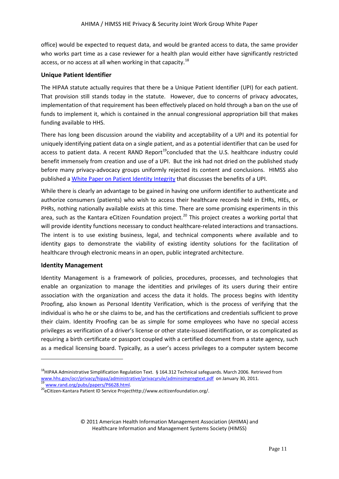office) would be expected to request data, and would be granted access to data, the same provider who works part time as a case reviewer for a health plan would either have significantly restricted access, or no access at all when working in that capacity.<sup>[18](#page-9-5)</sup>

# <span id="page-10-0"></span>**Unique Patient Identifier**

The HIPAA statute actually requires that there be a Unique Patient Identifier (UPI) for each patient. That provision still stands today in the statute. However, due to concerns of privacy advocates, implementation of that requirement has been effectively placed on hold through a ban on the use of funds to implement it, which is contained in the annual congressional appropriation bill that makes funding available to HHS.

There has long been discussion around the viability and acceptability of a UPI and its potential for uniquely identifying patient data on a single patient, and as a potential identifier that can be used for access to patient data. A recent RAND Report<sup>19</sup>concluded that the U.S. healthcare industry could benefit immensely from creation and use of a UPI. But the ink had not dried on the published study before many privacy-advocacy groups uniformly rejected its content and conclusions. HIMSS also published a [White Paper on Patient Identity Integrity](http://www.himss.org/content/files/PrivacySecurity/PIIWhitePaper.pdf) that discusses the benefits of a UPI.

While there is clearly an advantage to be gained in having one uniform identifier to authenticate and authorize consumers (patients) who wish to access their healthcare records held in EHRs, HIEs, or PHRs, nothing nationally available exists at this time. There are some promising experiments in this area, such as the Kantara eCitizen Foundation project.<sup>[20](#page-10-3)</sup> This project creates a working portal that will provide identity functions necessary to conduct healthcare-related interactions and transactions. The intent is to use existing business, legal, and technical components where available and to identity gaps to demonstrate the viability of existing identity solutions for the facilitation of healthcare through electronic means in an open, public integrated architecture.

# <span id="page-10-1"></span>**Identity Management**

**.** 

Identity Management is a framework of policies, procedures, processes, and technologies that enable an organization to manage the identities and privileges of its users during their entire association with the organization and access the data it holds. The process begins with Identity Proofing, also known as Personal Identity Verification, which is the process of verifying that the individual is who he or she claims to be, and has the certifications and credentials sufficient to prove their claim. Identity Proofing can be as simple for some employees who have no special access privileges as verification of a driver's license or other state-issued identification, or as complicated as requiring a birth certificate or passport coupled with a certified document from a state agency, such as a medical licensing board. Typically, as a user's access privileges to a computer system become

<sup>&</sup>lt;sup>18</sup>HIPAA Administrative Simplification Regulation Text. § 164.312 Technical safeguards. March 2006. Retrieved from [www.hhs.gov/ocr/privacy/hipaa/administrative/privacyrule/adminsimpregtext.pdf](http://www.hhs.gov/ocr/privacy/hipaa/administrative/privacyrule/adminsimpregtext.pdf) on January 30, 2011.<br>
<sup>19</sup> [www.rand.org/pubs/papers/P6628.html.](http://www.rand.org/pubs/papers/P6628.html)<br>
<sup>20</sup>eCitizen-Kantara Patient ID Service Projecthttp://www.ecitizenfoundation.or

<span id="page-10-4"></span><span id="page-10-3"></span><span id="page-10-2"></span>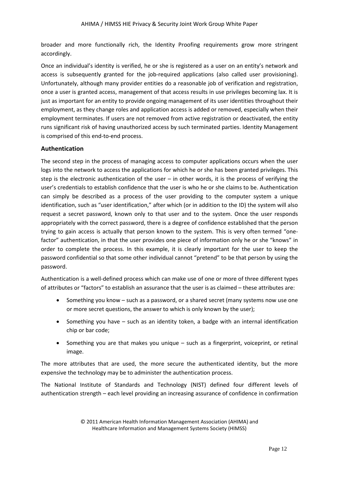broader and more functionally rich, the Identity Proofing requirements grow more stringent accordingly.

Once an individual's identity is verified, he or she is registered as a user on an entity's network and access is subsequently granted for the job-required applications (also called user provisioning). Unfortunately, although many provider entities do a reasonable job of verification and registration, once a user is granted access, management of that access results in use privileges becoming lax. It is just as important for an entity to provide ongoing management of its user identities throughout their employment, as they change roles and application access is added or removed, especially when their employment terminates. If users are not removed from active registration or deactivated, the entity runs significant risk of having unauthorized access by such terminated parties. Identity Management is comprised of this end-to-end process.

# <span id="page-11-0"></span>**Authentication**

The second step in the process of managing access to computer applications occurs when the user logs into the network to access the applications for which he or she has been granted privileges. This step is the electronic authentication of the user – in other words, it is the process of verifying the user's credentials to establish confidence that the user is who he or she claims to be. Authentication can simply be described as a process of the user providing to the computer system a unique identification, such as "user identification," after which (or in addition to the ID) the system will also request a secret password, known only to that user and to the system. Once the user responds appropriately with the correct password, there is a degree of confidence established that the person trying to gain access is actually that person known to the system. This is very often termed "onefactor" authentication, in that the user provides one piece of information only he or she "knows" in order to complete the process. In this example, it is clearly important for the user to keep the password confidential so that some other individual cannot "pretend" to be that person by using the password.

Authentication is a well-defined process which can make use of one or more of three different types of attributes or "factors" to establish an assurance that the user is as claimed – these attributes are:

- Something you know such as a password, or a shared secret (many systems now use one or more secret questions, the answer to which is only known by the user);
- Something you have such as an identity token, a badge with an internal identification chip or bar code;
- Something you are that makes you unique  $-$  such as a fingerprint, voiceprint, or retinal image.

The more attributes that are used, the more secure the authenticated identity, but the more expensive the technology may be to administer the authentication process.

The National Institute of Standards and Technology (NIST) defined four different levels of authentication strength – each level providing an increasing assurance of confidence in confirmation

<sup>© 2011</sup> American Health Information Management Association (AHIMA) and Healthcare Information and Management Systems Society (HIMSS)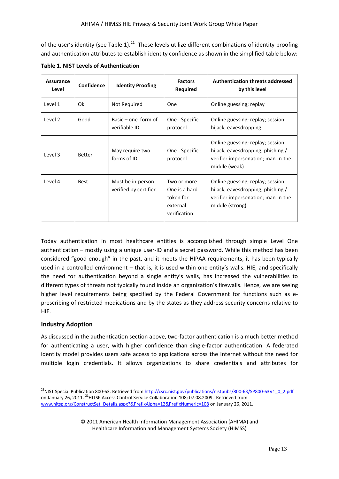of the user's identity (see Table 1).<sup>21</sup> These levels utilize different combinations of identity proofing and authentication attributes to establish identity confidence as shown in the simplified table below:

| <b>Assurance</b><br>Level | Confidence  | <b>Identity Proofing</b>                   | <b>Factors</b><br>Required                                               | <b>Authentication threats addressed</b><br>by this level                                                                        |
|---------------------------|-------------|--------------------------------------------|--------------------------------------------------------------------------|---------------------------------------------------------------------------------------------------------------------------------|
| Level 1                   | 0k          | Not Required                               | One                                                                      | Online guessing; replay                                                                                                         |
| Level 2                   | Good        | Basic $-$ one form of<br>verifiable ID     | One - Specific<br>protocol                                               | Online guessing; replay; session<br>hijack, eavesdropping                                                                       |
| Level 3                   | Better      | May require two<br>forms of ID             | One - Specific<br>protocol                                               | Online guessing; replay; session<br>hijack, eavesdropping; phishing /<br>verifier impersonation; man-in-the-<br>middle (weak)   |
| Level 4                   | <b>Best</b> | Must be in-person<br>verified by certifier | Two or more -<br>One is a hard<br>token for<br>external<br>verification. | Online guessing; replay; session<br>hijack, eavesdropping; phishing /<br>verifier impersonation; man-in-the-<br>middle (strong) |

**Table 1. NIST Levels of Authentication**

Today authentication in most healthcare entities is accomplished through simple Level One authentication – mostly using a unique user-ID and a secret password. While this method has been considered "good enough" in the past, and it meets the HIPAA requirements, it has been typically used in a controlled environment – that is, it is used within one entity's walls. HIE, and specifically the need for authentication beyond a single entity's walls, has increased the vulnerabilities to different types of threats not typically found inside an organization's firewalls. Hence, we are seeing higher level requirements being specified by the Federal Government for functions such as eprescribing of restricted medications and by the states as they address security concerns relative to HIE.

# <span id="page-12-0"></span>**Industry Adoption**

1

<span id="page-12-1"></span>As discussed in the authentication section above, two-factor authentication is a much better method for authenticating a user, with higher confidence than single-factor authentication. A federated identity model provides users safe access to applications across the Internet without the need for multiple login credentials. It allows organizations to share credentials and attributes for

<sup>&</sup>lt;sup>21</sup>NIST [Special Publication 800-63.](http://www.google.com/url?sa=t&source=web&cd=1&sqi=2&ved=0CBMQFjAA&url=http%3A%2F%2Fcsrc.nist.gov%2Fpublications%2Fnistpubs%2F800-63%2FSP800-63V1_0_2.pdf&rct=j&q=NIST%20Levels%20of%20Authentication&ei=265CTc6wBILSsAPN45XgCg&usg=AFQjCNGfiZSSwIsuyiKQjMS1Xg29PPfCGw&sig2=zY2xH_8sihUkf2ofYDDuwQ&cad=rja) Retrieved fro[m http://csrc.nist.gov/publications/nistpubs/800-63/SP800-63V1\\_0\\_2.pdf](http://csrc.nist.gov/publications/nistpubs/800-63/SP800-63V1_0_2.pdf) on January 26, 2011. <sup>21</sup>HITSP Access Control Service Collaboration 108: 07.08.2009. Retrieved from [www.hitsp.org/ConstructSet\\_Details.aspx?&PrefixAlpha=12&PrefixNumeric=108](http://www.hitsp.org/ConstructSet_Details.aspx?&PrefixAlpha=12&PrefixNumeric=108) on January 26, 2011.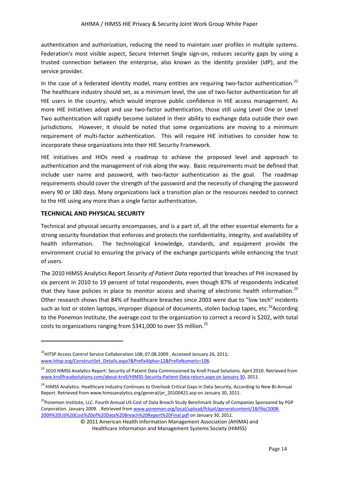authentication and authorization, reducing the need to maintain user profiles in multiple systems. Federation's most visible aspect, Secure Internet Single sign-on, reduces security gaps by using a trusted connection between the enterprise, also known as the identity provider (IdP), and the service provider.

In the case of a federated identity model, many entities are requiring two-factor authentication.<sup>[22](#page-12-1)</sup> The healthcare industry should set, as a minimum level, the use of two-factor authentication for all HIE users in the country, which would improve public confidence in HIE access management. As more HIE initiatives adopt and use two-factor authentication, those still using Level One or Level Two authentication will rapidly become isolated in their ability to exchange data outside their own jurisdictions. However, it should be noted that some organizations are moving to a minimum requirement of multi-factor authentication. This will require HIE initiatives to consider how to incorporate these organizations into their HIE Security Framework.

HIE initiatives and HIOs need a roadmap to achieve the proposed level and approach to authentication and the management of risk along the way. Basic requirements must be defined that include user name and password, with two-factor authentication as the goal. The roadmap requirements should cover the strength of the password and the necessity of changing the password every 90 or 180 days. Many organizations lack a transition plan or the resources needed to connect to the HIE using any more than a single factor authentication.

# <span id="page-13-0"></span>**TECHNICAL AND PHYSICAL SECURITY**

**.** 

Technical and physical security encompasses, and is a part of, all the other essential elements for a strong security foundation that enforces and protects the confidentiality, integrity, and availability of health information. The technological knowledge, standards, and equipment provide the environment crucial to ensuring the privacy of the exchange participants while enhancing the trust of users.

The 2010 HIMSS Analytics Report *Security of Patient Data* reported that breaches of PHI increased by six percent in 2010 to 19 percent of total respondents, even though 87% of respondents indicated that they have policies in place to monitor access and sharing of electronic health information.<sup>[23](#page-13-1)</sup> Other research shows that 84% of healthcare breaches since 2003 were due to "low tech" incidents such as lost or stolen laptops, improper disposal of documents, stolen backup tapes, etc.<sup>24</sup>According to the Ponemon Institute, the average cost to the organization to correct a record is \$202, with total costs to organizations ranging from \$341,000 to over \$5 million.<sup>[25](#page-13-3)</sup>

<sup>&</sup>lt;sup>22</sup>HITSP Access Control Service Collaboration 108; 07.08.2009, Accessed January 26, 2011; [www.hitsp.org/ConstructSet\\_Details.aspx?&PrefixAlpha=12&PrefixNumeric=108.](http://www.hitsp.org/ConstructSet_Details.aspx?&PrefixAlpha=12&PrefixNumeric=108)

<span id="page-13-1"></span><sup>&</sup>lt;sup>23</sup> 2010 HIMSS Analytics Report: Security of Patient Data Commissioned by Kroll Fraud Solutions. April 2010. Retrieved from [www.krollfraudsolutions.com/about-kroll/HIMSS-Security-Patient-Data-return.aspx on January 30,](http://www.krollfraudsolutions.com/about-kroll/HIMSS-Security-Patient-Data-return.aspx%20on%20January%2030) 2011.

<span id="page-13-4"></span><span id="page-13-2"></span><sup>&</sup>lt;sup>24</sup> HIMSS Analytics. Healthcare Industry Continues to Overlook Critical Gaps in Data Security, According to New Bi-Annual Report. Retrieved from www.himssanalytics.org/general/pr\_20100421.asp on January 30, 2011.

<span id="page-13-3"></span><sup>&</sup>lt;sup>25</sup> Ponemon Institute, LLC. Fourth Annual US Cost of Data Breach Study Benchmark Study of Companies Sponsored by PGP Corporation. January 2009. . Retrieved fro[m www.ponemon.org/local/upload/fckjail/generalcontent/18/file/2008-](http://www.ponemon.org/local/upload/fckjail/generalcontent/18/file/2008-2009%20US%20Cost%20of%20Data%20Breach%20Report%20Final.pdf) [2009%20US%20Cost%20of%20Data%20Breach%20Report%20Final.pdf](http://www.ponemon.org/local/upload/fckjail/generalcontent/18/file/2008-2009%20US%20Cost%20of%20Data%20Breach%20Report%20Final.pdf) on January 30, 2011.

<sup>© 2011</sup> American Health Information Management Association (AHIMA) and Healthcare Information and Management Systems Society (HIMSS)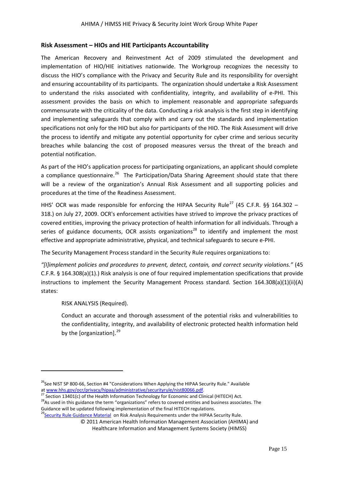# <span id="page-14-0"></span>**Risk Assessment – HIOs and HIE Participants Accountability**

The American Recovery and Reinvestment Act of 2009 stimulated the development and implementation of HIO/HIE initiatives nationwide. The Workgroup recognizes the necessity to discuss the HIO's compliance with the Privacy and Security Rule and its responsibility for oversight and ensuring accountability of its participants. The organization should undertake a Risk Assessment to understand the risks associated with confidentiality, integrity, and availability of e-PHI. This assessment provides the basis on which to implement reasonable and appropriate safeguards commensurate with the criticality of the data. Conducting a risk analysis is the first step in identifying and implementing safeguards that comply with and carry out the standards and implementation specifications not only for the HIO but also for participants of the HIO. The Risk Assessment will drive the process to identify and mitigate any potential opportunity for cyber crime and serious security breaches while balancing the cost of proposed measures versus the threat of the breach and potential notification.

As part of the HIO's application process for participating organizations, an applicant should complete a compliance questionnaire.<sup>26</sup> The Participation/Data Sharing Agreement should state that there will be a review of the organization's Annual Risk Assessment and all supporting policies and procedures at the time of the Readiness Assessment.

HHS' OCR was made responsible for enforcing the HIPAA Security Rule<sup>[27](#page-14-1)</sup> (45 C.F.R. §§ 164.302 – 318.) on July 27, 2009. OCR's enforcement activities have strived to improve the privacy practices of covered entities, improving the privacy protection of health information for all individuals. Through a series of guidance documents, OCR assists organizations<sup>[28](#page-14-2)</sup> to identify and implement the most effective and appropriate administrative, physical, and technical safeguards to secure e-PHI.

The Security Management Process standard in the Security Rule requires organizations to:

*"[I]implement policies and procedures to prevent, detect, contain, and correct security violations."* (45 C.F.R. § 164.308(a)(1).) Risk analysis is one of four required implementation specifications that provide instructions to implement the Security Management Process standard. Section 164.308(a)(1)(ii)(A) states:

RISK ANALYSIS (Required).

**.** 

Conduct an accurate and thorough assessment of the potential risks and vulnerabilities to the confidentiality, integrity, and availability of electronic protected health information held by the [organization]. $^{29}$  $^{29}$  $^{29}$ 

© 2011 American Health Information Management Association (AHIMA) and

<span id="page-14-4"></span><sup>&</sup>lt;sup>26</sup>See NIST SP 800-66, Section #4 "Considerations When Applying the HIPAA Security Rule." Available at [www.hhs.gov/ocr/privacy/hipaa/administrative/securityrule/nist80066.pdf.](http://www.hhs.gov/ocr/privacy/hipaa/administrative/securityrule/nist80066.pdf)<br>
<sup>27</sup> Section 13401(c) of the Health Information Technology for Economic and Clinical (HITECH) Act.<br>
<sup>28</sup> As used in this guidance the term "organ

<span id="page-14-2"></span><span id="page-14-1"></span>Guidance will be updated following implementation of the final HITECH regulations.

<span id="page-14-3"></span><sup>&</sup>lt;sup>29</sup>Security Rule Guidance Material on Risk Analysis Requirements under the HIPAA Security Rule.

Healthcare Information and Management Systems Society (HIMSS)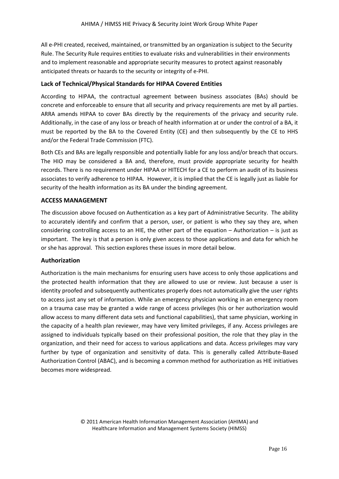All e-PHI created, received, maintained, or transmitted by an organization is subject to the Security Rule. The Security Rule requires entities to evaluate risks and vulnerabilities in their environments and to implement reasonable and appropriate security measures to protect against reasonably anticipated threats or hazards to the security or integrity of e-PHI.

#### <span id="page-15-0"></span>**Lack of Technical/Physical Standards for HIPAA Covered Entities**

According to HIPAA, the contractual agreement between business associates (BAs) should be concrete and enforceable to ensure that all security and privacy requirements are met by all parties. ARRA amends HIPAA to cover BAs directly by the requirements of the privacy and security rule. Additionally, in the case of any loss or breach of health information at or under the control of a BA, it must be reported by the BA to the Covered Entity (CE) and then subsequently by the CE to HHS and/or the Federal Trade Commission (FTC).

Both CEs and BAs are legally responsible and potentially liable for any loss and/or breach that occurs. The HIO may be considered a BA and, therefore, must provide appropriate security for health records. There is no requirement under HIPAA or HITECH for a CE to perform an audit of its business associates to verify adherence to HIPAA. However, it is implied that the CE is legally just as liable for security of the health information as its BA under the binding agreement.

#### <span id="page-15-1"></span>**ACCESS MANAGEMENT**

The discussion above focused on Authentication as a key part of Administrative Security. The ability to accurately identify and confirm that a person, user, or patient is who they say they are, when considering controlling access to an HIE, the other part of the equation – Authorization – is just as important. The key is that a person is only given access to those applications and data for which he or she has approval. This section explores these issues in more detail below.

#### <span id="page-15-2"></span>**Authorization**

Authorization is the main mechanisms for ensuring users have access to only those applications and the protected health information that they are allowed to use or review. Just because a user is identity proofed and subsequently authenticates properly does not automatically give the user rights to access just any set of information. While an emergency physician working in an emergency room on a trauma case may be granted a wide range of access privileges (his or her authorization would allow access to many different data sets and functional capabilities), that same physician, working in the capacity of a health plan reviewer, may have very limited privileges, if any. Access privileges are assigned to individuals typically based on their professional position, the role that they play in the organization, and their need for access to various applications and data. Access privileges may vary further by type of organization and sensitivity of data. This is generally called Attribute-Based Authorization Control (ABAC), and is becoming a common method for authorization as HIE initiatives becomes more widespread.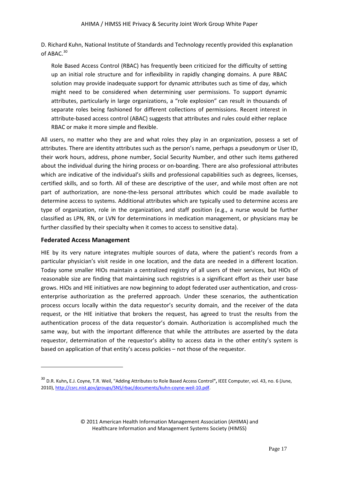D. Richard Kuhn, National Institute of Standards and Technology recently provided this explanation of ABAC.<sup>[30](#page-14-4)</sup>

Role Based Access Control (RBAC) has frequently been criticized for the difficulty of setting up an initial role structure and for inflexibility in rapidly changing domains. A pure RBAC solution may provide inadequate support for dynamic attributes such as time of day, which might need to be considered when determining user permissions. To support dynamic attributes, particularly in large organizations, a "role explosion" can result in thousands of separate roles being fashioned for different collections of permissions. Recent interest in attribute-based access control (ABAC) suggests that attributes and rules could either replace RBAC or make it more simple and flexible.

All users, no matter who they are and what roles they play in an organization, possess a set of attributes. There are identity attributes such as the person's name, perhaps a pseudonym or User ID, their work hours, address, phone number, Social Security Number, and other such items gathered about the individual during the hiring process or on-boarding. There are also professional attributes which are indicative of the individual's skills and professional capabilities such as degrees, licenses, certified skills, and so forth. All of these are descriptive of the user, and while most often are not part of authorization, are none-the-less personal attributes which could be made available to determine access to systems. Additional attributes which are typically used to determine access are type of organization, role in the organization, and staff position (e.g., a nurse would be further classified as LPN, RN, or LVN for determinations in medication management, or physicians may be further classified by their specialty when it comes to access to sensitive data).

# <span id="page-16-0"></span>**Federated Access Management**

 $\overline{\phantom{a}}$ 

HIE by its very nature integrates multiple sources of data, where the patient's records from a particular physician's visit reside in one location, and the data are needed in a different location. Today some smaller HIOs maintain a centralized registry of all users of their services, but HIOs of reasonable size are finding that maintaining such registries is a significant effort as their user base grows. HIOs and HIE initiatives are now beginning to adopt federated user authentication, and crossenterprise authorization as the preferred approach. Under these scenarios, the authentication process occurs locally within the data requestor's security domain, and the receiver of the data request, or the HIE initiative that brokers the request, has agreed to trust the results from the authentication process of the data requestor's domain. Authorization is accomplished much the same way, but with the important difference that while the attributes are asserted by the data requestor, determination of the requestor's ability to access data in the other entity's system is based on application of that entity's access policies – not those of the requestor.

<span id="page-16-1"></span><sup>30</sup> D.R. Kuhn**,** E.J. Coyne, T.R. Weil, "Adding Attributes to Role Based Access Control**",** IEEE Computer, vol. 43, no. 6 (June, 2010)[, http://csrc.nist.gov/groups/SNS/rbac/documents/kuhn-coyne-weil-10.pdf.](http://csrc.nist.gov/groups/SNS/rbac/documents/kuhn-coyne-weil-10.pdf)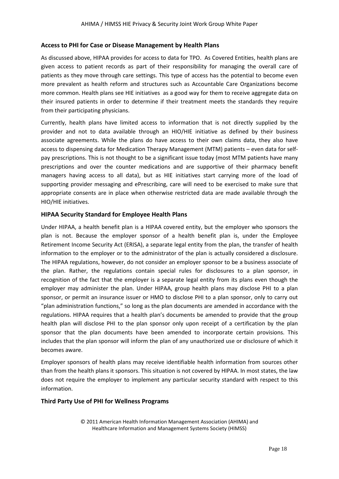#### <span id="page-17-0"></span>**Access to PHI for Case or Disease Management by Health Plans**

As discussed above, HIPAA provides for access to data for TPO. As Covered Entities, health plans are given access to patient records as part of their responsibility for managing the overall care of patients as they move through care settings. This type of access has the potential to become even more prevalent as health reform and structures such as Accountable Care Organizations become more common. Health plans see HIE initiatives as a good way for them to receive aggregate data on their insured patients in order to determine if their treatment meets the standards they require from their participating physicians.

Currently, health plans have limited access to information that is not directly supplied by the provider and not to data available through an HIO/HIE initiative as defined by their business associate agreements. While the plans do have access to their own claims data, they also have access to dispensing data for Medication Therapy Management (MTM) patients – even data for selfpay prescriptions. This is not thought to be a significant issue today (most MTM patients have many prescriptions and over the counter medications and are supportive of their pharmacy benefit managers having access to all data), but as HIE initiatives start carrying more of the load of supporting provider messaging and ePrescribing, care will need to be exercised to make sure that appropriate consents are in place when otherwise restricted data are made available through the HIO/HIE initiatives.

#### <span id="page-17-1"></span>**HIPAA Security Standard for Employee Health Plans**

Under HIPAA, a health benefit plan is a HIPAA covered entity, but the employer who sponsors the plan is not. Because the employer sponsor of a health benefit plan is, under the [Employee](http://www.dol.gov/compliance/laws/comp-erisa.htm)  [Retirement Income Security Act](http://www.dol.gov/compliance/laws/comp-erisa.htm) (ERISA), a separate legal entity from the plan, the transfer of health information to the employer or to the administrator of the plan is actually considered a disclosure. The HIPAA regulations, however, do not consider an employer sponsor to be a business associate of the plan. Rather, the regulations contain special rules for disclosures to a plan sponsor, in recognition of the fact that the employer is a separate legal entity from its plans even though the employer may administer the plan. Under HIPAA, group health plans may disclose PHI to a plan sponsor, or permit an insurance issuer or HMO to disclose PHI to a plan sponsor, only to carry out "plan administration functions," so long as the plan documents are amended in accordance with the regulations. HIPAA requires that a health plan's documents be amended to provide that the group health plan will disclose PHI to the plan sponsor only upon receipt of a certification by the plan sponsor that the plan documents have been amended to incorporate certain provisions. This includes that the plan sponsor will inform the plan of any unauthorized use or disclosure of which it becomes aware.

Employer sponsors of health plans may receive identifiable health information from sources other than from the health plans it sponsors. This situation is not covered by HIPAA. In most states, the law does not require the employer to implement any particular security standard with respect to this information.

# <span id="page-17-2"></span>**Third Party Use of PHI for Wellness Programs**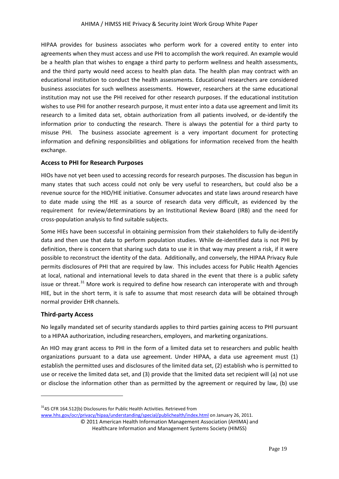HIPAA provides for business associates who perform work for a covered entity to enter into agreements when they must access and use PHI to accomplish the work required. An example would be a health plan that wishes to engage a third party to perform wellness and health assessments, and the third party would need access to health plan data. The health plan may contract with an educational institution to conduct the health assessments. Educational researchers are considered business associates for such wellness assessments. However, researchers at the same educational institution may not use the PHI received for other research purposes. If the educational institution wishes to use PHI for another research purpose, it must enter into a data use agreement and limit its research to a limited data set, obtain authorization from all patients involved, or de-identify the information prior to conducting the research. There is always the potential for a third party to misuse PHI. The business associate agreement is a very important document for protecting information and defining responsibilities and obligations for information received from the health exchange.

# <span id="page-18-0"></span>**Access to PHI for Research Purposes**

HIOs have not yet been used to accessing records for research purposes. The discussion has begun in many states that such access could not only be very useful to researchers, but could also be a revenue source for the HIO/HIE initiative. Consumer advocates and state laws around research have to date made using the HIE as a source of research data very difficult, as evidenced by the requirement for review/determinations by an Institutional Review Board (IRB) and the need for cross-population analysis to find suitable subjects.

Some HIEs have been successful in obtaining permission from their stakeholders to fully de-identify data and then use that data to perform population studies. While de-identified data is not PHI by definition, there is concern that sharing such data to use it in that way may present a risk, if it were possible to reconstruct the identity of the data. Additionally, and conversely, the HIPAA Privacy Rule permits disclosures of PHI that are required by law. This includes access for Public Health Agencies at local, national and international levels to data shared in the event that there is a public safety issue or threat.<sup>[31](#page-16-1)</sup> More work is required to define how research can interoperate with and through HIE, but in the short term, it is safe to assume that most research data will be obtained through normal provider EHR channels.

# <span id="page-18-1"></span>**Third-party Access**

**.** 

No legally mandated set of security standards applies to third parties gaining access to PHI pursuant to a HIPAA authorization, including researchers, employers, and marketing organizations.

<span id="page-18-2"></span>An HIO may grant access to PHI in the form of a limited data set to researchers and public health organizations pursuant to a data use agreement. Under HIPAA, a data use agreement must (1) establish the permitted uses and disclosures of the limited data set, (2) establish who is permitted to use or receive the limited data set, and (3) provide that the limited data set recipient will (a) not use or disclose the information other than as permitted by the agreement or required by law, (b) use

 $31$ <sub>45</sub> CFR 164.512(b) Disclosures for Public Health Activities. Retrieved from [www.hhs.gov/ocr/privacy/hipaa/understanding/special/publichealth/index.html](http://www.hhs.gov/ocr/privacy/hipaa/understanding/special/publichealth/index.html) on January 26, 2011.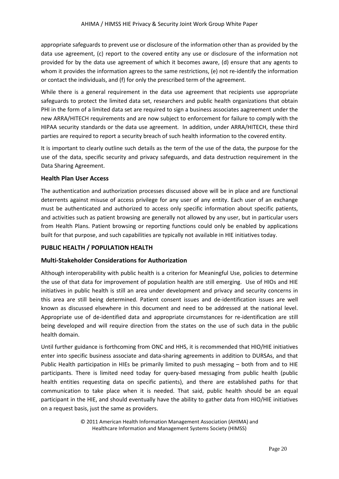appropriate safeguards to prevent use or disclosure of the information other than as provided by the data use agreement, (c) report to the covered entity any use or disclosure of the information not provided for by the data use agreement of which it becomes aware, (d) ensure that any agents to whom it provides the information agrees to the same restrictions, (e) not re-identify the information or contact the individuals, and (f) for only the prescribed term of the agreement.

While there is a general requirement in the data use agreement that recipients use appropriate safeguards to protect the limited data set, researchers and public health organizations that obtain PHI in the form of a limited data set are required to sign a business associates aagreement under the new ARRA/HITECH requirements and are now subject to enforcement for failure to comply with the HIPAA security standards or the data use agreement. In addition, under ARRA/HITECH, these third parties are required to report a security breach of such health information to the covered entity.

It is important to clearly outline such details as the term of the use of the data, the purpose for the use of the data, specific security and privacy safeguards, and data destruction requirement in the Data Sharing Agreement.

# <span id="page-19-0"></span>**Health Plan User Access**

The authentication and authorization processes discussed above will be in place and are functional deterrents against misuse of access privilege for any user of any entity. Each user of an exchange must be authenticated and authorized to access only specific information about specific patients, and activities such as patient browsing are generally not allowed by any user, but in particular users from Health Plans. Patient browsing or reporting functions could only be enabled by applications built for that purpose, and such capabilities are typically not available in HIE initiatives today.

# <span id="page-19-1"></span>**PUBLIC HEALTH / POPULATION HEALTH**

# <span id="page-19-2"></span>**Multi-Stakeholder Considerations for Authorization**

Although interoperability with public health is a criterion for Meaningful Use, policies to determine the use of that data for improvement of population health are still emerging. Use of HIOs and HIE initiatives in public health is still an area under development and privacy and security concerns in this area are still being determined. Patient consent issues and de-identification issues are well known as discussed elsewhere in this document and need to be addressed at the national level. Appropriate use of de-identified data and appropriate circumstances for re-identification are still being developed and will require direction from the states on the use of such data in the public health domain.

Until further guidance is forthcoming from ONC and HHS, it is recommended that HIO/HIE initiatives enter into specific business associate and data-sharing agreements in addition to DURSAs, and that Public Health participation in HIEs be primarily limited to push messaging – both from and to HIE participants. There is limited need today for query-based messaging from public health (public health entities requesting data on specific patients), and there are established paths for that communication to take place when it is needed. That said, public health should be an equal participant in the HIE, and should eventually have the ability to gather data from HIO/HIE initiatives on a request basis, just the same as providers.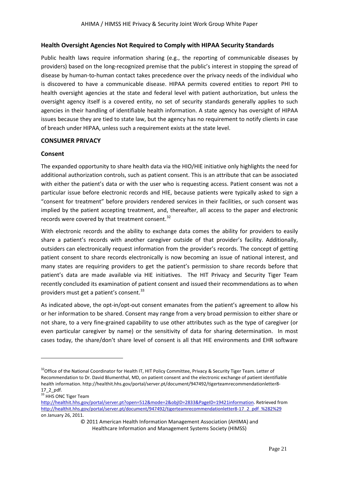# <span id="page-20-0"></span>**Health Oversight Agencies Not Required to Comply with HIPAA Security Standards**

Public health laws require information sharing (e.g., the reporting of communicable diseases by providers) based on the long-recognized premise that the public's interest in stopping the spread of disease by human-to-human contact takes precedence over the privacy needs of the individual who is discovered to have a communicable disease. HIPAA permits covered entities to report PHI to health oversight agencies at the state and federal level with patient authorization, but unless the oversight agency itself is a covered entity, no set of security standards generally applies to such agencies in their handling of identifiable health information. A state agency has oversight of HIPAA issues because they are tied to state law, but the agency has no requirement to notify clients in case of breach under HIPAA, unless such a requirement exists at the state level.

# <span id="page-20-1"></span>**CONSUMER PRIVACY**

#### <span id="page-20-2"></span>**Consent**

The expanded opportunity to share health data via the HIO/HIE initiative only highlights the need for additional authorization controls, such as patient consent. This is an attribute that can be associated with either the patient's data or with the user who is requesting access. Patient consent was not a particular issue before electronic records and HIE, because patients were typically asked to sign a "consent for treatment" before providers rendered services in their facilities, or such consent was implied by the patient accepting treatment, and, thereafter, all access to the paper and electronic records were covered by that treatment consent.<sup>[32](#page-18-2)</sup>

With electronic records and the ability to exchange data comes the ability for providers to easily share a patient's records with another caregiver outside of that provider's facility. Additionally, outsiders can electronically request information from the provider's records. The concept of getting patient consent to share records electronically is now becoming an issue of national interest, and many states are requiring providers to get the patient's permission to share records before that patient's data are made available via HIE initiatives. The HIT Privacy and Security Tiger Team recently concluded its examination of patient consent and issued their recommendations as to when providers must get a patient's consent.<sup>[33](#page-20-3)</sup>

As indicated above, the opt-in/opt-out consent emanates from the patient's agreement to allow his or her information to be shared. Consent may range from a very broad permission to either share or not share, to a very fine-grained capability to use other attributes such as the type of caregiver (or even particular caregiver by name) or the sensitivity of data for sharing determination. In most cases today, the share/don't share level of consent is all that HIE environments and EHR software

 $\overline{\phantom{a}}$ 

<sup>&</sup>lt;sup>32</sup>Office of the National Coordinator for Health IT, HIT Policy Committee, Privacy & Security Tiger Team. Letter of Recommendation to Dr. David Blumenthal, MD, on patient consent and the electronic exchange of patient identifiable health information. http://healthit.hhs.gov/portal/server.pt/document/947492/tigerteamrecommendationletter8- 17\_2\_pdf.<br><sup>33</sup> HHS ONC Tiger Team

<span id="page-20-4"></span><span id="page-20-3"></span>[http://healthit.hhs.gov/portal/server.pt?open=512&mode=2&objID=2833&PageID=19421information.](http://healthit.hhs.gov/portal/server.pt?open=512&mode=2&objID=2833&PageID=19421information) Retrieved from [http://healthit.hhs.gov/portal/server.pt/document/947492/tigerteamrecommendationletter8-17\\_2\\_pdf\\_%282%29](http://healthit.hhs.gov/portal/server.pt/document/947492/tigerteamrecommendationletter8-17_2_pdf_%282%29) on January 26, 2011.

<sup>© 2011</sup> American Health Information Management Association (AHIMA) and Healthcare Information and Management Systems Society (HIMSS)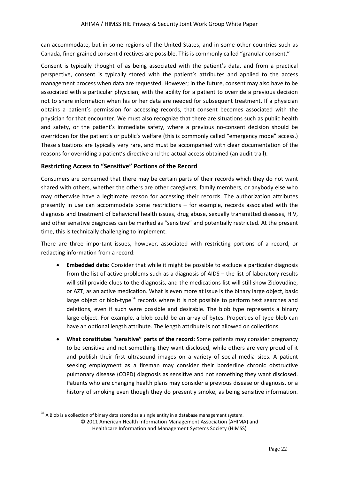can accommodate, but in some regions of the United States, and in some other countries such as Canada, finer-grained consent directives are possible. This is commonly called "granular consent."

Consent is typically thought of as being associated with the patient's data, and from a practical perspective, consent is typically stored with the patient's attributes and applied to the access management process when data are requested. However; in the future, consent may also have to be associated with a particular physician, with the ability for a patient to override a previous decision not to share information when his or her data are needed for subsequent treatment. If a physician obtains a patient's permission for accessing records, that consent becomes associated with the physician for that encounter. We must also recognize that there are situations such as public health and safety, or the patient's immediate safety, where a previous no-consent decision should be overridden for the patient's or public's welfare (this is commonly called "emergency mode" access.) These situations are typically very rare, and must be accompanied with clear documentation of the reasons for overriding a patient's directive and the actual access obtained (an audit trail).

# <span id="page-21-0"></span>**Restricting Access to "Sensitive" Portions of the Record**

Consumers are concerned that there may be certain parts of their records which they do not want shared with others, whether the others are other caregivers, family members, or anybody else who may otherwise have a legitimate reason for accessing their records. The authorization attributes presently in use can accommodate some restrictions – for example, records associated with the diagnosis and treatment of behavioral health issues, drug abuse, sexually transmitted diseases, HIV, and other sensitive diagnoses can be marked as "sensitive" and potentially restricted. At the present time, this is technically challenging to implement.

There are three important issues, however, associated with restricting portions of a record, or redacting information from a record:

- **Embedded data:** Consider that while it might be possible to exclude a particular diagnosis from the list of active problems such as a diagnosis of AIDS – the list of laboratory results will still provide clues to the diagnosis, and the medications list will still show Zidovudine, or AZT, as an active medication. What is even more at issue is the binary large object, basic large object or blob-type<sup>[34](#page-20-4)</sup> records where it is not possible to perform text searches and deletions, even if such were possible and desirable. The blob type represents a binary large object. For example, a blob could be an array of bytes. Properties of type blob can have an optional length attribute. The length attribute is not allowed on collections.
- **What constitutes "sensitive" parts of the record:** Some patients may consider pregnancy to be sensitive and not something they want disclosed, while others are very proud of it and publish their first ultrasound images on a variety of social media sites. A patient seeking employment as a fireman may consider their borderline chronic obstructive pulmonary disease (COPD) diagnosis as sensitive and not something they want disclosed. Patients who are changing health plans may consider a previous disease or diagnosis, or a history of smoking even though they do presently smoke, as being sensitive information.

<span id="page-21-1"></span> $\overline{\phantom{a}}$ 

 $34$  A Blob is a collection of binary data stored as a single entity in a database management system.

<sup>© 2011</sup> American Health Information Management Association (AHIMA) and Healthcare Information and Management Systems Society (HIMSS)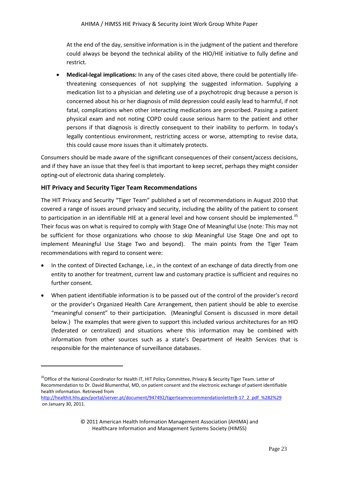At the end of the day, sensitive information is in the judgment of the patient and therefore could always be beyond the technical ability of the HIO/HIE initiative to fully define and restrict.

• **Medical-legal implications:** In any of the cases cited above, there could be potentially lifethreatening consequences of not supplying the suggested information. Supplying a medication list to a physician and deleting use of a psychotropic drug because a person is concerned about his or her diagnosis of mild depression could easily lead to harmful, if not fatal, complications when other interacting medications are prescribed. Passing a patient physical exam and not noting COPD could cause serious harm to the patient and other persons if that diagnosis is directly consequent to their inability to perform. In today's legally contentious environment, restricting access or worse, attempting to revise data, this could cause more issues than it ultimately protects.

Consumers should be made aware of the significant consequences of their consent/access decisions, and if they have an issue that they feel is that important to keep secret, perhaps they might consider opting-out of electronic data sharing completely.

# <span id="page-22-0"></span>**HIT Privacy and Security Tiger Team Recommendations**

 $\overline{\phantom{a}}$ 

The HIT Privacy and Security "Tiger Team" published a set of recommendations in August 2010 that covered a range of issues around privacy and security, including the ability of the patient to consent to participation in an identifiable HIE at a general level and how consent should be implemented.<sup>[35](#page-21-1)</sup> Their focus was on what is required to comply with Stage One of Meaningful Use (note: This may not be sufficient for those organizations who choose to skip Meaningful Use Stage One and opt to implement Meaningful Use Stage Two and beyond). The main points from the Tiger Team recommendations with regard to consent were:

- In the context of Directed Exchange, i.e., in the context of an exchange of data directly from one entity to another for treatment, current law and customary practice is sufficient and requires no further consent.
- When patient identifiable information is to be passed out of the control of the provider's record or the provider's Organized Health Care Arrangement, then patient should be able to exercise "meaningful consent" to their participation. (Meaningful Consent is discussed in more detail below.) The examples that were given to support this included various architectures for an HIO (federated or centralized) and situations where this information may be combined with information from other sources such as a state's Department of Health Services that is responsible for the maintenance of surveillance databases.

<sup>&</sup>lt;sup>35</sup>Office of the National Coordinator for Health IT, HIT Policy Committee, Privacy & Security Tiger Team. Letter of Recommendation to Dr. David Blumenthal, MD, on patient consent and the electronic exchange of patient identifiable health information. Retrieved from

<span id="page-22-1"></span>[http://healthit.hhs.gov/portal/server.pt/document/947492/tigerteamrecommendationletter8-17\\_2\\_pdf\\_%282%29](http://healthit.hhs.gov/portal/server.pt/document/947492/tigerteamrecommendationletter8-17_2_pdf_%282%29) on January 30, 2011.

<sup>© 2011</sup> American Health Information Management Association (AHIMA) and Healthcare Information and Management Systems Society (HIMSS)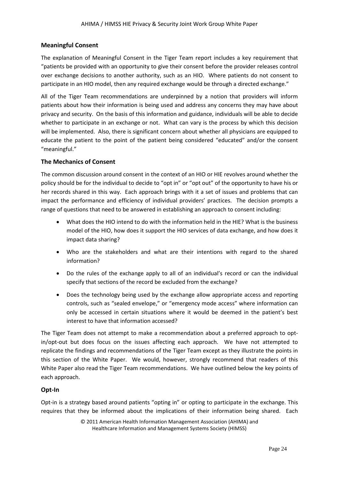# <span id="page-23-0"></span>**Meaningful Consent**

The explanation of Meaningful Consent in the Tiger Team report includes a key requirement that "patients be provided with an opportunity to give their consent before the provider releases control over exchange decisions to another authority, such as an HIO. Where patients do not consent to participate in an HIO model, then any required exchange would be through a directed exchange."

All of the Tiger Team recommendations are underpinned by a notion that providers will inform patients about how their information is being used and address any concerns they may have about privacy and security. On the basis of this information and guidance, individuals will be able to decide whether to participate in an exchange or not. What can vary is the process by which this decision will be implemented. Also, there is significant concern about whether all physicians are equipped to educate the patient to the point of the patient being considered "educated" and/or the consent "meaningful."

# <span id="page-23-1"></span>**The Mechanics of Consent**

The common discussion around consent in the context of an HIO or HIE revolves around whether the policy should be for the individual to decide to "opt in" or "opt out" of the opportunity to have his or her records shared in this way. Each approach brings with it a set of issues and problems that can impact the performance and efficiency of individual providers' practices. The decision prompts a range of questions that need to be answered in establishing an approach to consent including:

- What does the HIO intend to do with the information held in the HIE? What is the business model of the HIO, how does it support the HIO services of data exchange, and how does it impact data sharing?
- Who are the stakeholders and what are their intentions with regard to the shared information?
- Do the rules of the exchange apply to all of an individual's record or can the individual specify that sections of the record be excluded from the exchange?
- Does the technology being used by the exchange allow appropriate access and reporting controls, such as "sealed envelope," or "emergency mode access" where information can only be accessed in certain situations where it would be deemed in the patient's best interest to have that information accessed?

The Tiger Team does not attempt to make a recommendation about a preferred approach to optin/opt-out but does focus on the issues affecting each approach. We have not attempted to replicate the findings and recommendations of the Tiger Team except as they illustrate the points in this section of the White Paper. We would, however, strongly recommend that readers of this White Paper also read the Tiger Team recommendations. We have outlined below the key points of each approach.

# <span id="page-23-2"></span>**Opt-In**

Opt-in is a strategy based around patients "opting in" or opting to participate in the exchange. This requires that they be informed about the implications of their information being shared. Each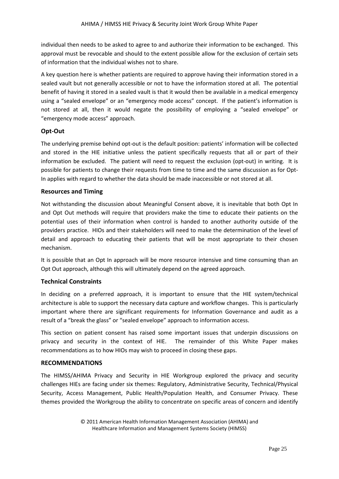individual then needs to be asked to agree to and authorize their information to be exchanged. This approval must be revocable and should to the extent possible allow for the exclusion of certain sets of information that the individual wishes not to share.

A key question here is whether patients are required to approve having their information stored in a sealed vault but not generally accessible or not to have the information stored at all. The potential benefit of having it stored in a sealed vault is that it would then be available in a medical emergency using a "sealed envelope" or an "emergency mode access" concept. If the patient's information is not stored at all, then it would negate the possibility of employing a "sealed envelope" or "emergency mode access" approach.

# <span id="page-24-0"></span>**Opt-Out**

The underlying premise behind opt-out is the default position: patients' information will be collected and stored in the HIE initiative unless the patient specifically requests that all or part of their information be excluded. The patient will need to request the exclusion (opt-out) in writing. It is possible for patients to change their requests from time to time and the same discussion as for Opt-In applies with regard to whether the data should be made inaccessible or not stored at all.

# <span id="page-24-1"></span>**Resources and Timing**

Not withstanding the discussion about Meaningful Consent above, it is inevitable that both Opt In and Opt Out methods will require that providers make the time to educate their patients on the potential uses of their information when control is handed to another authority outside of the providers practice. HIOs and their stakeholders will need to make the determination of the level of detail and approach to educating their patients that will be most appropriate to their chosen mechanism.

It is possible that an Opt In approach will be more resource intensive and time consuming than an Opt Out approach, although this will ultimately depend on the agreed approach.

# <span id="page-24-2"></span>**Technical Constraints**

In deciding on a preferred approach, it is important to ensure that the HIE system/technical architecture is able to support the necessary data capture and workflow changes. This is particularly important where there are significant requirements for Information Governance and audit as a result of a "break the glass" or "sealed envelope" approach to information access.

This section on patient consent has raised some important issues that underpin discussions on privacy and security in the context of HIE. The remainder of this White Paper makes recommendations as to how HIOs may wish to proceed in closing these gaps.

# <span id="page-24-3"></span>**RECOMMENDATIONS**

The HIMSS/AHIMA Privacy and Security in HIE Workgroup explored the privacy and security challenges HIEs are facing under six themes: Regulatory, Administrative Security, Technical/Physical Security, Access Management, Public Health/Population Health, and Consumer Privacy. These themes provided the Workgroup the ability to concentrate on specific areas of concern and identify

<sup>© 2011</sup> American Health Information Management Association (AHIMA) and Healthcare Information and Management Systems Society (HIMSS)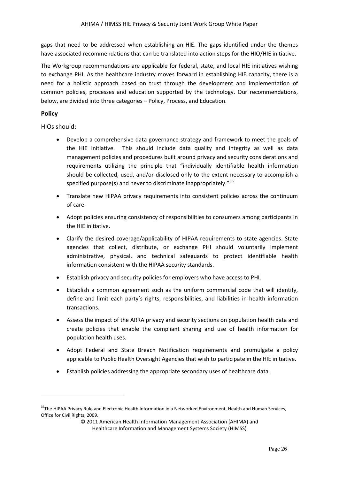gaps that need to be addressed when establishing an HIE. The gaps identified under the themes have associated recommendations that can be translated into action steps for the HIO/HIE initiative.

The Workgroup recommendations are applicable for federal, state, and local HIE initiatives wishing to exchange PHI. As the healthcare industry moves forward in establishing HIE capacity, there is a need for a holistic approach based on trust through the development and implementation of common policies, processes and education supported by the technology. Our recommendations, below, are divided into three categories – Policy, Process, and Education.

# <span id="page-25-0"></span>**Policy**

**.** 

HIOs should:

- Develop a comprehensive data governance strategy and framework to meet the goals of the HIE initiative. This should include data quality and integrity as well as data management policies and procedures built around privacy and security considerations and requirements utilizing the principle that "individually identifiable health information should be collected, used, and/or disclosed only to the extent necessary to accomplish a specified purpose(s) and never to discriminate inappropriately."<sup>[36](#page-22-1)</sup>
- Translate new HIPAA privacy requirements into consistent policies across the continuum of care.
- Adopt policies ensuring consistency of responsibilities to consumers among participants in the HIE initiative.
- Clarify the desired coverage/applicability of HIPAA requirements to state agencies. State agencies that collect, distribute, or exchange PHI should voluntarily implement administrative, physical, and technical safeguards to protect identifiable health information consistent with the HIPAA security standards.
- Establish privacy and security policies for employers who have access to PHI.
- Establish a common agreement such as the uniform commercial code that will identify, define and limit each party's rights, responsibilities, and liabilities in health information transactions.
- <span id="page-25-1"></span>• Assess the impact of the ARRA privacy and security sections on population health data and create policies that enable the compliant sharing and use of health information for population health uses.
- Adopt Federal and State Breach Notification requirements and promulgate a policy applicable to Public Health Oversight Agencies that wish to participate in the HIE initiative.
- Establish policies addressing the appropriate secondary uses of healthcare data.

<sup>&</sup>lt;sup>36</sup>The HIPAA Privacy Rule and Electronic Health Information in a Networked Environment. Health and Human Services, Office for Civil Rights, 2009.

<sup>© 2011</sup> American Health Information Management Association (AHIMA) and Healthcare Information and Management Systems Society (HIMSS)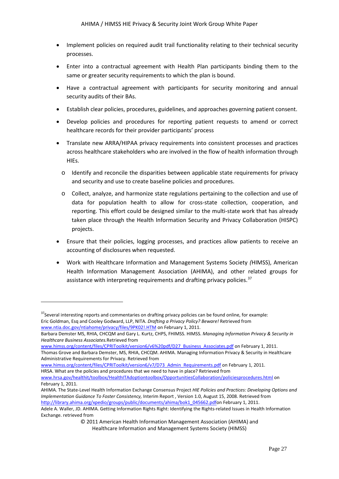- Implement policies on required audit trail functionality relating to their technical security processes.
- Enter into a contractual agreement with Health Plan participants binding them to the same or greater security requirements to which the plan is bound.
- Have a contractual agreement with participants for security monitoring and annual security audits of their BAs.
- Establish clear policies, procedures, guidelines, and approaches governing patient consent.
- Develop policies and procedures for reporting patient requests to amend or correct healthcare records for their provider participants' process
- Translate new ARRA/HIPAA privacy requirements into consistent processes and practices across healthcare stakeholders who are involved in the flow of health information through HIEs.
	- o Identify and reconcile the disparities between applicable state requirements for privacy and security and use to create baseline policies and procedures.
	- o Collect, analyze, and harmonize state regulations pertaining to the collection and use of data for population health to allow for cross-state collection, cooperation, and reporting. This effort could be designed similar to the multi-state work that has already taken place through the Health Information Security and Privacy Collaboration (HISPC) projects.
- Ensure that their policies, logging processes, and practices allow patients to receive an accounting of disclosures when requested.
- Work with Healthcare Information and Management Systems Society *(*HIMSS), American Health Information Management Association (AHIMA), and other related groups for assistance with interpreting requirements and drafting privacy policies.<sup>[37](#page-25-1)</sup>

```
www.ntia.doc.gov/ntiahome/privacy/files/9PK02!.HTM on February 1, 2011.
```
**.** 

Administrative Requirements for Privacy. Retrieved from

[www.himss.org/content/files/CPRIToolkit/version6/v7/D73\\_Admin\\_Requirements.pdf](http://www.himss.org/content/files/CPRIToolkit/version6/v7/D73_Admin_Requirements.pdf) on February 1, 2011. HRSA. What are the policies and procedures that we need to have in place? Retrieved from

AHIMA. The State-Level Health Information Exchange Consensus Project *HIE Policies and Practices: Developing Options and Implementation Guidance To Foster Consistency,* Interim Report , Version 1.0, August 15, 2008. Retrieved from [http://library.ahima.org/xpedio/groups/public/documents/ahima/bok1\\_045662.pdfo](http://library.ahima.org/xpedio/groups/public/documents/ahima/bok1_045662.pdf)n February 1, 2011.

Adele A. Waller, JD. AHIMA. Getting Information Rights Right: Identifying the Rights-related Issues in Health Information Exchange. retrieved from

<sup>&</sup>lt;sup>37</sup>Several interesting reports and commentaries on drafting privacy policies can be found online, for example: Eric Goldman, Esq and Cooley Godward, LLP, NITA. *Drafting a Privacy Policy? Beware!* Retrieved from

Barbara Demster MS, RHIA, CHCQM and Gary L. Kurtz, CHPS, FHIMSS. HIMSS. *Managing Information Privacy & Security in Healthcare Business Associates.*Retrieved from

[www.himss.org/content/files/CPRIToolkit/version6/v6%20pdf/D27\\_Business\\_Associates.pdf](http://www.himss.org/content/files/CPRIToolkit/version6/v6%20pdf/D27_Business_Associates.pdf) on February 1, 2011. Thomas Grove and Barbara Demster, MS, RHIA, CHCQM. AHIMA. Managing Information Privacy & Security in Healthcare

[www.hrsa.gov/healthit/toolbox/HealthITAdoptiontoolbox/OpportunitiesCollaboration/policiesprocedures.html](http://www.hrsa.gov/healthit/toolbox/HealthITAdoptiontoolbox/OpportunitiesCollaboration/policiesprocedures.html) on February 1, 2011.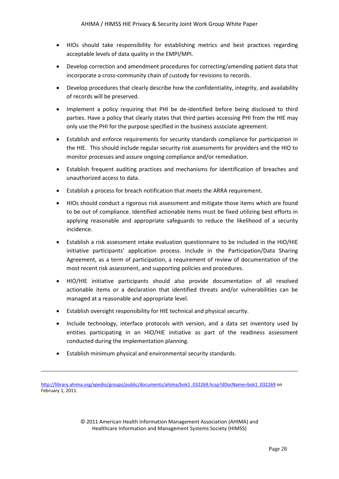- HIOs should take responsibility for establishing metrics and best practices regarding acceptable levels of data quality in the EMPI/MPI.
- Develop correction and amendment procedures for correcting/amending patient data that incorporate a cross-community chain of custody for revisions to records.
- Develop procedures that clearly describe how the confidentiality, integrity, and availability of records will be preserved.
- Implement a policy requiring that PHI be de-identified before being disclosed to third parties. Have a policy that clearly states that third parties accessing PHI from the HIE may only use the PHI for the purpose specified in the business associate agreement.
- Establish and enforce requirements for security standards compliance for participation in the HIE. This should include regular security risk assessments for providers and the HIO to monitor processes and assure ongoing compliance and/or remediation.
- Establish frequent auditing practices and mechanisms for identification of breaches and unauthorized access to data.
- Establish a process for breach notification that meets the ARRA requirement.
- HIOs should conduct a rigorous risk assessment and mitigate those items which are found to be out of compliance. Identified actionable items must be fixed utilizing best efforts in applying reasonable and appropriate safeguards to reduce the likelihood of a security incidence.
- Establish a risk assessment intake evaluation questionnaire to be included in the HIO/HIE initiative participants' application process. Include in the Participation/Data Sharing Agreement, as a term of participation, a requirement of review of documentation of the most recent risk assessment, and supporting policies and procedures.
- HIO/HIE initiative participants should also provide documentation of all resolved actionable items or a declaration that identified threats and/or vulnerabilities can be managed at a reasonable and appropriate level.
- Establish oversight responsibility for HIE technical and physical security.
- Include technology, interface protocols with version, and a data set inventory used by entities participating in an HIO/HIE initiative as part of the readiness assessment conducted during the implementation planning.
- Establish minimum physical and environmental security standards.

**.** 

[http://library.ahima.org/xpedio/groups/public/documents/ahima/bok1\\_032269.hcsp?dDocName=bok1\\_032269](http://library.ahima.org/xpedio/groups/public/documents/ahima/bok1_032269.hcsp?dDocName=bok1_032269) on February 1, 2011.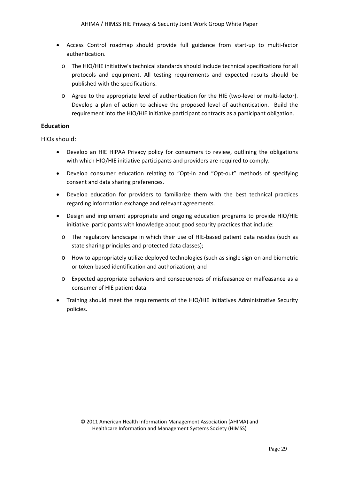- Access Control roadmap should provide full guidance from start-up to multi-factor authentication.
	- o The HIO/HIE initiative's technical standards should include technical specifications for all protocols and equipment. All testing requirements and expected results should be published with the specifications.
	- o Agree to the appropriate level of authentication for the HIE (two-level or multi-factor). Develop a plan of action to achieve the proposed level of authentication. Build the requirement into the HIO/HIE initiative participant contracts as a participant obligation.

# <span id="page-28-0"></span>**Education**

HIOs should:

- Develop an HIE HIPAA Privacy policy for consumers to review, outlining the obligations with which HIO/HIE initiative participants and providers are required to comply.
- Develop consumer education relating to "Opt-in and "Opt-out" methods of specifying consent and data sharing preferences.
- Develop education for providers to familiarize them with the best technical practices regarding information exchange and relevant agreements.
- Design and implement appropriate and ongoing education programs to provide HIO/HIE initiative participants with knowledge about good security practices that include:
	- o The regulatory landscape in which their use of HIE-based patient data resides (such as state sharing principles and protected data classes);
	- o How to appropriately utilize deployed technologies (such as single sign-on and biometric or token-based identification and authorization); and
	- o Expected appropriate behaviors and consequences of misfeasance or malfeasance as a consumer of HIE patient data.
- <span id="page-28-1"></span>• Training should meet the requirements of the HIO/HIE initiatives Administrative Security policies.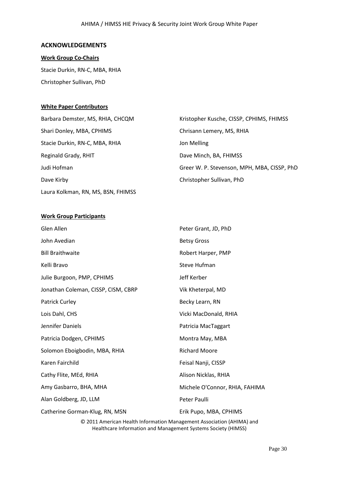#### **ACKNOWLEDGEMENTS**

# **Work Group Co-Chairs**

Stacie Durkin, RN-C, MBA, RHIA Christopher Sullivan, PhD

#### **White Paper Contributors**

| Barbara Demster, MS, RHIA, CHCQM   | Kristopher Kusche, CISSP, CPHIMS, FHIMSS    |
|------------------------------------|---------------------------------------------|
| Shari Donley, MBA, CPHIMS          | Chrisann Lemery, MS, RHIA                   |
| Stacie Durkin, RN-C, MBA, RHIA     | Jon Melling                                 |
| Reginald Grady, RHIT               | Dave Minch, BA, FHIMSS                      |
| Judi Hofman                        | Greer W. P. Stevenson, MPH, MBA, CISSP, PhD |
| Dave Kirby                         | Christopher Sullivan, PhD                   |
| Laura Kolkman, RN, MS, BSN, FHIMSS |                                             |

# **Work Group Participants**

| Glen Allen                                                                                                                             | Peter Grant, JD, PhD           |  |  |  |
|----------------------------------------------------------------------------------------------------------------------------------------|--------------------------------|--|--|--|
| John Avedian                                                                                                                           | <b>Betsy Gross</b>             |  |  |  |
| <b>Bill Braithwaite</b>                                                                                                                | Robert Harper, PMP             |  |  |  |
| Kelli Bravo                                                                                                                            | Steve Hufman                   |  |  |  |
| Julie Burgoon, PMP, CPHIMS                                                                                                             | Jeff Kerber                    |  |  |  |
| Jonathan Coleman, CISSP, CISM, CBRP                                                                                                    | Vik Kheterpal, MD              |  |  |  |
| <b>Patrick Curley</b>                                                                                                                  | Becky Learn, RN                |  |  |  |
| Lois Dahl, CHS                                                                                                                         | Vicki MacDonald, RHIA          |  |  |  |
| Jennifer Daniels                                                                                                                       | Patricia MacTaggart            |  |  |  |
| Patricia Dodgen, CPHIMS                                                                                                                | Montra May, MBA                |  |  |  |
| Solomon Eboigbodin, MBA, RHIA                                                                                                          | <b>Richard Moore</b>           |  |  |  |
| Karen Fairchild                                                                                                                        | Feisal Nanji, CISSP            |  |  |  |
| Cathy Flite, MEd, RHIA                                                                                                                 | Alison Nicklas, RHIA           |  |  |  |
| Amy Gasbarro, BHA, MHA                                                                                                                 | Michele O'Connor, RHIA, FAHIMA |  |  |  |
| Alan Goldberg, JD, LLM                                                                                                                 | Peter Paulli                   |  |  |  |
| Catherine Gorman-Klug, RN, MSN                                                                                                         | Erik Pupo, MBA, CPHIMS         |  |  |  |
| © 2011 American Health Information Management Association (AHIMA) and<br>Healthcare Information and Management Systems Society (HIMSS) |                                |  |  |  |

Page 30